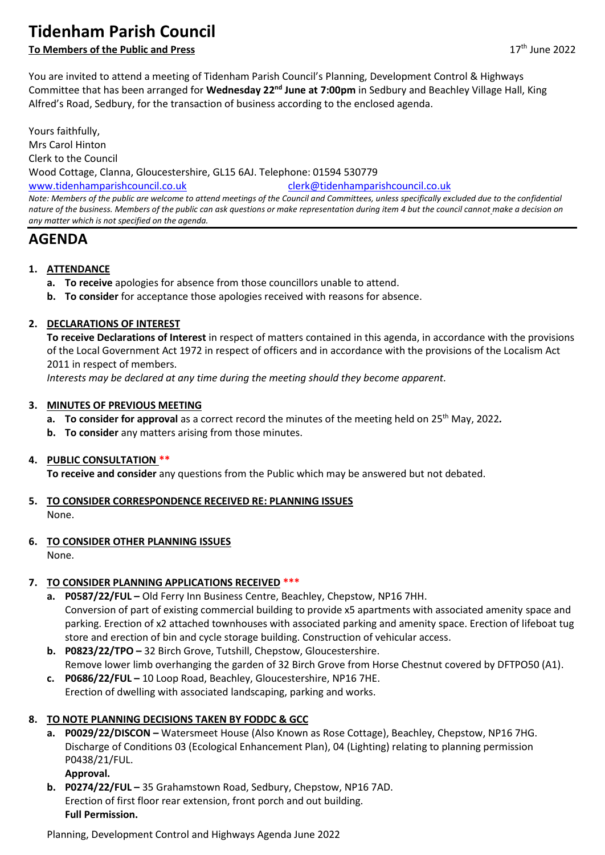# **Tidenham Parish Council**

### **To Members of the Public and Press** 17th June 2022

You are invited to attend a meeting of Tidenham Parish Council's Planning, Development Control & Highways Committee that has been arranged for **Wednesday 22nd June at 7:00pm** in Sedbury and Beachley Village Hall, King Alfred's Road, Sedbury, for the transaction of business according to the enclosed agenda.

Yours faithfully, Mrs Carol Hinton Clerk to the Council Wood Cottage, Clanna, Gloucestershire, GL15 6AJ. Telephone: 01594 530779 [www.tidenhamparishcouncil.co.uk](http://www.tidenhamparishcouncil.co.uk/) [clerk@tidenhamparishcouncil.co.uk](mailto:clerk@tidenhamparishcouncil.co.uk) *Note: Members of the public are welcome to attend meetings of the Council and Committees, unless specifically excluded due to the confidential nature of the business. Members of the public can ask questions or make representation during item 4 but the council cannot make a decision on any matter which is not specified on the agenda.*

# **AGENDA**

### **1. ATTENDANCE**

- **a. To receive** apologies for absence from those councillors unable to attend.
- **b. To consider** for acceptance those apologies received with reasons for absence.

### **2. DECLARATIONS OF INTEREST**

**To receive Declarations of Interest** in respect of matters contained in this agenda, in accordance with the provisions of the Local Government Act 1972 in respect of officers and in accordance with the provisions of the Localism Act 2011 in respect of members.

*Interests may be declared at any time during the meeting should they become apparent.*

#### **3. MINUTES OF PREVIOUS MEETING**

- **a. To consider for approval** as a correct record the minutes of the meeting held on 25<sup>th</sup> May, 2022*.*
- **b. To consider** any matters arising from those minutes.

#### **4. PUBLIC CONSULTATION \*\***

**To receive and consider** any questions from the Public which may be answered but not debated.

**5. TO CONSIDER CORRESPONDENCE RECEIVED RE: PLANNING ISSUES**

None.

**6. TO CONSIDER OTHER PLANNING ISSUES**

None.

### **7. TO CONSIDER PLANNING APPLICATIONS RECEIVED \*\*\***

- **a. P0587/22/FUL –** Old Ferry Inn Business Centre, Beachley, Chepstow, NP16 7HH. Conversion of part of existing commercial building to provide x5 apartments with associated amenity space and parking. Erection of x2 attached townhouses with associated parking and amenity space. Erection of lifeboat tug store and erection of bin and cycle storage building. Construction of vehicular access.
- **b. P0823/22/TPO –** 32 Birch Grove, Tutshill, Chepstow, Gloucestershire. Remove lower limb overhanging the garden of 32 Birch Grove from Horse Chestnut covered by DFTPO50 (A1).
- **c. P0686/22/FUL –** 10 Loop Road, Beachley, Gloucestershire, NP16 7HE. Erection of dwelling with associated landscaping, parking and works.

# **8. TO NOTE PLANNING DECISIONS TAKEN BY FODDC & GCC**

**a. P0029/22/DISCON –** Watersmeet House (Also Known as Rose Cottage), Beachley, Chepstow, NP16 7HG. Discharge of Conditions 03 (Ecological Enhancement Plan), 04 (Lighting) relating to planning permission P0438/21/FUL.

**Approval.**

**b. P0274/22/FUL –** 35 Grahamstown Road, Sedbury, Chepstow, NP16 7AD. Erection of first floor rear extension, front porch and out building. **Full Permission.**

Planning, Development Control and Highways Agenda June 2022